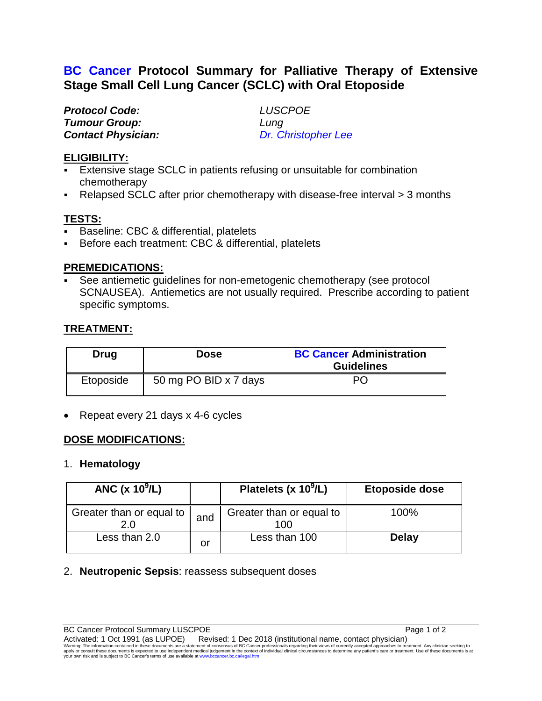# **BC Cancer Protocol Summary for Palliative Therapy of Extensive Stage Small Cell Lung Cancer (SCLC) with Oral Etoposide**

| <b>Protocol Code:</b>     | <b>LUS</b> |
|---------------------------|------------|
| <b>Tumour Group:</b>      | Lung       |
| <b>Contact Physician:</b> | Dr. C      |

*Protocol Code: LUSCPOE Contact Physician: Dr. Christopher Lee*

#### **ELIGIBILITY:**

- Extensive stage SCLC in patients refusing or unsuitable for combination chemotherapy
- Relapsed SCLC after prior chemotherapy with disease-free interval > 3 months

## **TESTS:**

- Baseline: CBC & differential, platelets
- Before each treatment: CBC & differential, platelets

#### **PREMEDICATIONS:**

 See antiemetic guidelines for non-emetogenic chemotherapy (see protocol SCNAUSEA). Antiemetics are not usually required. Prescribe according to patient specific symptoms.

# **TREATMENT:**

| Drug      | <b>Dose</b>           | <b>BC Cancer Administration</b><br><b>Guidelines</b> |
|-----------|-----------------------|------------------------------------------------------|
| Etoposide | 50 mg PO BID x 7 days | PC.                                                  |

• Repeat every 21 days x 4-6 cycles

## **DOSE MODIFICATIONS:**

#### 1. **Hematology**

| ANC (x $10^9$ /L)               |     | Platelets (x $10^9$ /L)         | Etoposide dose |
|---------------------------------|-----|---------------------------------|----------------|
| Greater than or equal to<br>2.0 | and | Greater than or equal to<br>100 | 100%           |
| Less than 2.0                   | or  | Less than 100                   | <b>Delay</b>   |

## 2. **Neutropenic Sepsis**: reassess subsequent doses

BC Cancer Protocol Summary LUSCPOE Page 1 of 2